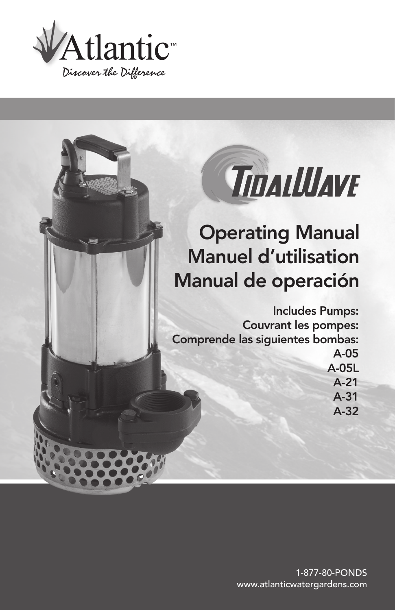

# TIDALLUAVE

## Operating Manual Manuel d'utilisation Manual de operación

Includes Pumps: Couvrant les pompes: Comprende las siguientes bombas: A-05 A-05L

A-21 A-31

A-32

1-877-80-PONDS www.atlanticwatergardens.com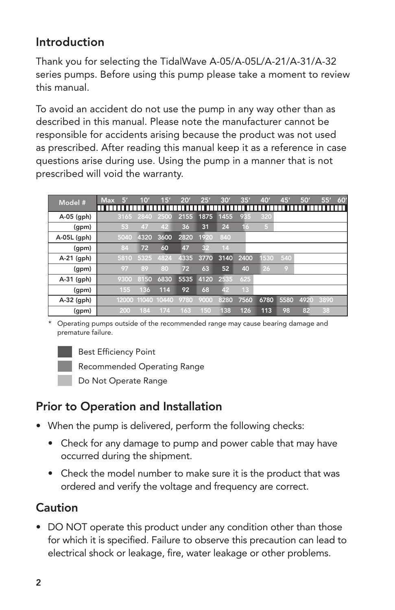## Introduction

Thank you for selecting the TidalWave A-05/A-05L/A-21/A-31/A-32 series pumps. Before using this pump please take a moment to review this manual.

To avoid an accident do not use the pump in any way other than as described in this manual. Please note the manufacturer cannot be responsible for accidents arising because the product was not used as prescribed. After reading this manual keep it as a reference in case questions arise during use. Using the pump in a manner that is not prescribed will void the warranty.

| Model #       | <b>Max</b><br>ß | 10'               | 15'  | 20'  | 25'  | 30'  | 35'             | 40'            | 45'  | 50'  | 55'  | 60' |
|---------------|-----------------|-------------------|------|------|------|------|-----------------|----------------|------|------|------|-----|
|               |                 |                   |      |      |      |      |                 |                |      |      |      | Ш   |
| A-05 (gph)    |                 | 3165 2840         | 2500 | 2155 | 1875 | 1455 | 935             | 320            |      |      |      |     |
| (gpm)         | 53              | 47                | 42   | 36   | 31   | 24   | 16              | 5 <sub>1</sub> |      |      |      |     |
| $A-05L$ (gph) | 5040            | 4320              | 3600 | 2820 | 1920 | 840  |                 |                |      |      |      |     |
| (gpm)         | 84              | 72                | 60   | 47   | 32   | 14   |                 |                |      |      |      |     |
| A-21 (gph)    | 5810            | 5325              | 4824 | 4335 | 3770 | 3140 | 2400            | 530            | 540  |      |      |     |
| (gpm)         | 97              | 89                | 80   | 72   | 63   | 52   | 40              | 26             | 9    |      |      |     |
| $A-31$ (gph)  | 9300            | 8150              | 6830 | 5535 | 4120 | 2535 | 625             |                |      |      |      |     |
| (gpm)         | 155             | 136               | 114  | 92   | 68   | 42   | 13 <sup>°</sup> |                |      |      |      |     |
| A-32 (gph)    |                 | 12000 11040 10440 |      | 9780 | 9000 | 8280 | 7560            | 6780           | 5580 | 4920 | 3890 |     |
| (gpm)         | 200             | 184               | 174  | 163  | 150  | 138  | 126             | 113            | 98   | 82   | 38   |     |

\* Operating pumps outside of the recommended range may cause bearing damage and premature failure.



Best Efficiency Point

Recommended Operating Range

Do Not Operate Range

## Prior to Operation and Installation

- When the pump is delivered, perform the following checks:
	- Check for any damage to pump and power cable that may have occurred during the shipment.
	- Check the model number to make sure it is the product that was ordered and verify the voltage and frequency are correct.

## **Caution**

• DO NOT operate this product under any condition other than those for which it is specified. Failure to observe this precaution can lead to electrical shock or leakage, fire, water leakage or other problems.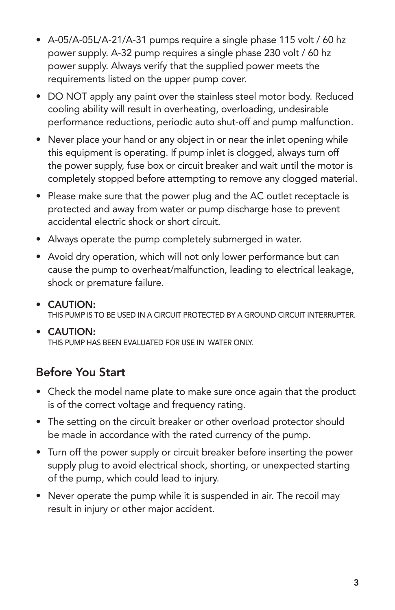- A-05/A-05L/A-21/A-31 pumps require a single phase 115 volt / 60 hz power supply. A-32 pump requires a single phase 230 volt / 60 hz power supply. Always verify that the supplied power meets the requirements listed on the upper pump cover.
- DO NOT apply any paint over the stainless steel motor body. Reduced cooling ability will result in overheating, overloading, undesirable performance reductions, periodic auto shut-off and pump malfunction.
- Never place your hand or any object in or near the inlet opening while this equipment is operating. If pump inlet is clogged, always turn off the power supply, fuse box or circuit breaker and wait until the motor is completely stopped before attempting to remove any clogged material.
- Please make sure that the power plug and the AC outlet receptacle is protected and away from water or pump discharge hose to prevent accidental electric shock or short circuit.
- Always operate the pump completely submerged in water.
- Avoid dry operation, which will not only lower performance but can cause the pump to overheat/malfunction, leading to electrical leakage, shock or premature failure.
- • CAUTION: THIS PUMP IS TO BE USED IN A CIRCUIT PROTECTED BY A GROUND CIRCUIT INTERRUPTER.
- CAUTION: THIS PUMP HAS BEEN EVALUATED FOR USE IN WATER ONLY.

## Before You Start

- Check the model name plate to make sure once again that the product is of the correct voltage and frequency rating.
- The setting on the circuit breaker or other overload protector should be made in accordance with the rated currency of the pump.
- Turn off the power supply or circuit breaker before inserting the power supply plug to avoid electrical shock, shorting, or unexpected starting of the pump, which could lead to injury.
- Never operate the pump while it is suspended in air. The recoil may result in injury or other major accident.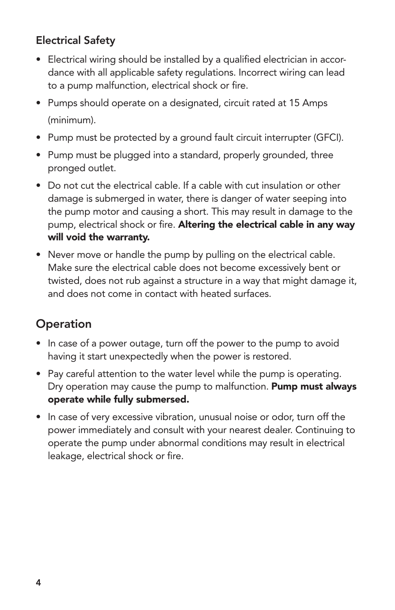## Electrical Safety

- Electrical wiring should be installed by a qualified electrician in accor- dance with all applicable safety regulations. Incorrect wiring can lead to a pump malfunction, electrical shock or fire.
- Pumps should operate on a designated, circuit rated at 15 Amps (minimum).
- Pump must be protected by a ground fault circuit interrupter (GFCI).
- Pump must be plugged into a standard, properly grounded, three pronged outlet.
- Do not cut the electrical cable. If a cable with cut insulation or other damage is submerged in water, there is danger of water seeping into the pump motor and causing a short. This may result in damage to the pump, electrical shock or fire. Altering the electrical cable in any way will void the warranty.
- Never move or handle the pump by pulling on the electrical cable. Make sure the electrical cable does not become excessively bent or twisted, does not rub against a structure in a way that might damage it, and does not come in contact with heated surfaces.

## **Operation**

- In case of a power outage, turn off the power to the pump to avoid having it start unexpectedly when the power is restored.
- Pay careful attention to the water level while the pump is operating. Dry operation may cause the pump to malfunction. Pump must always operate while fully submersed.
- In case of very excessive vibration, unusual noise or odor, turn off the power immediately and consult with your nearest dealer. Continuing to operate the pump under abnormal conditions may result in electrical leakage, electrical shock or fire.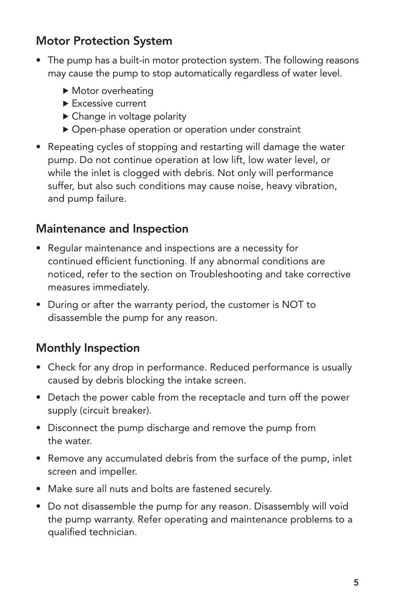## Motor Protection System

- The pump has a built-in motor protection system. The following reasons may cause the pump to stop automatically regardless of water level.
	- Motor overheating
	- Excessive current
	- ▶ Change in voltage polarity
	- Open-phase operation or operation under constraint
- Repeating cycles of stopping and restarting will damage the water pump. Do not continue operation at low lift, low water level, or while the inlet is clogged with debris. Not only will performance suffer, but also such conditions may cause noise, heavy vibration, and pump failure.

## Maintenance and Inspection

- Regular maintenance and inspections are a necessity for continued efficient functioning. If any abnormal conditions are noticed, refer to the section on Troubleshooting and take corrective measures immediately.
- During or after the warranty period, the customer is NOT to disassemble the pump for any reason.

## Monthly Inspection

- Check for any drop in performance. Reduced performance is usually caused by debris blocking the intake screen.
- Detach the power cable from the receptacle and turn off the power supply (circuit breaker).
- Disconnect the pump discharge and remove the pump from the water.
- Remove any accumulated debris from the surface of the pump, inlet screen and impeller.
- • Make sure all nuts and bolts are fastened securely.
- Do not disassemble the pump for any reason. Disassembly will void the pump warranty. Refer operating and maintenance problems to a qualified technician.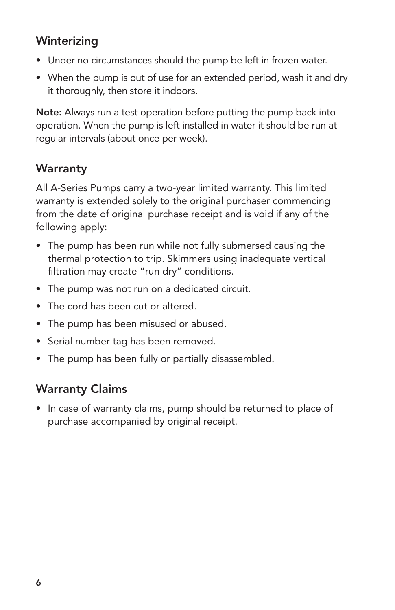## **Winterizing**

- Under no circumstances should the pump be left in frozen water.
- When the pump is out of use for an extended period, wash it and dry it thoroughly, then store it indoors.

Note: Always run a test operation before putting the pump back into operation. When the pump is left installed in water it should be run at regular intervals (about once per week).

## **Warranty**

All A-Series Pumps carry a two-year limited warranty. This limited warranty is extended solely to the original purchaser commencing from the date of original purchase receipt and is void if any of the following apply:

- The pump has been run while not fully submersed causing the thermal protection to trip. Skimmers using inadequate vertical filtration may create "run dry" conditions.
- The pump was not run on a dedicated circuit.
- The cord has been cut or altered.
- The pump has been misused or abused.
- Serial number tag has been removed.
- The pump has been fully or partially disassembled.

## Warranty Claims

• In case of warranty claims, pump should be returned to place of purchase accompanied by original receipt.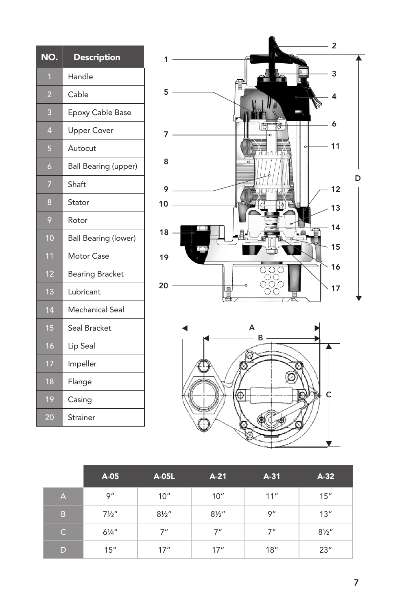| NO.            | <b>Description</b>          |
|----------------|-----------------------------|
| 1              | Handle                      |
| 2              | Cable                       |
| 3              | Epoxy Cable Base            |
| $\overline{4}$ | <b>Upper Cover</b>          |
| 5              | Autocut                     |
| 6              | <b>Ball Bearing (upper)</b> |
| 7              | Shaft                       |
| 8              | Stator                      |
| 9              | Rotor                       |
| 10             | <b>Ball Bearing (lower)</b> |
| 11             | <b>Motor Case</b>           |
| 12             | <b>Bearing Bracket</b>      |
| 13             | Lubricant                   |
| 14             | Mechanical Seal             |
| 15             | Seal Bracket                |
| 16             | Lip Seal                    |
| 17             | Impeller                    |
| 18             | Flange                      |
| 19             | Casing                      |
| 20             | Strainer                    |





|          | A-05             | A-05L            | $A-21$           | $A-31$ | $A-32$           |
|----------|------------------|------------------|------------------|--------|------------------|
| A,       | 9"               | 10"              | 10"              | 11"    | 15"              |
| B        | $7\frac{1}{2}$ " | $8\frac{1}{2}$ " | $8\frac{1}{2}$ " | 9''    | 13''             |
| <b>C</b> | $6\frac{1}{4}$ " | 7"               | 7"               | 7"     | $8\frac{1}{2}$ " |
| D        | 15"              | 17''             | 17''             | 18"    | 23''             |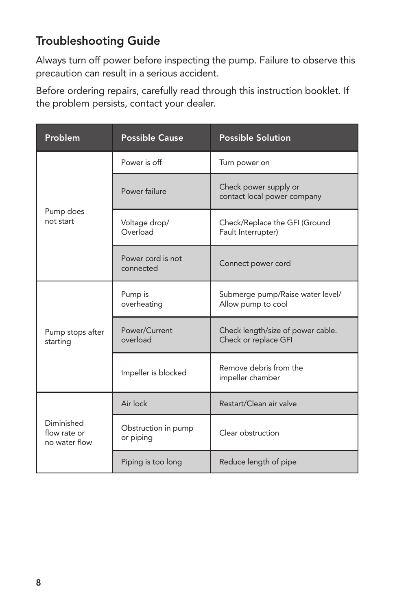## Troubleshooting Guide

Always turn off power before inspecting the pump. Failure to observe this precaution can result in a serious accident.

Before ordering repairs, carefully read through this instruction booklet. If the problem persists, contact your dealer.

| Problem                                     | <b>Possible Cause</b>            | <b>Possible Solution</b>                                  |  |  |  |
|---------------------------------------------|----------------------------------|-----------------------------------------------------------|--|--|--|
|                                             | Power is off                     | Turn power on                                             |  |  |  |
|                                             | Power failure                    | Check power supply or<br>contact local power company      |  |  |  |
| Pump does<br>not start                      | Voltage drop/<br>Overload        | Check/Replace the GFI (Ground<br>Fault Interrupter)       |  |  |  |
|                                             | Power cord is not<br>connected   | Connect power cord                                        |  |  |  |
|                                             | Pump is<br>overheating           | Submerge pump/Raise water level/<br>Allow pump to cool    |  |  |  |
| Pump stops after<br>starting                | Power/Current<br>overload        | Check length/size of power cable.<br>Check or replace GFI |  |  |  |
|                                             | Impeller is blocked              | Remove debris from the<br>impeller chamber                |  |  |  |
|                                             | Air lock                         | Restart/Clean air valve                                   |  |  |  |
| Diminished<br>flow rate or<br>no water flow | Obstruction in pump<br>or piping | Clear obstruction                                         |  |  |  |
|                                             | Piping is too long               | Reduce length of pipe                                     |  |  |  |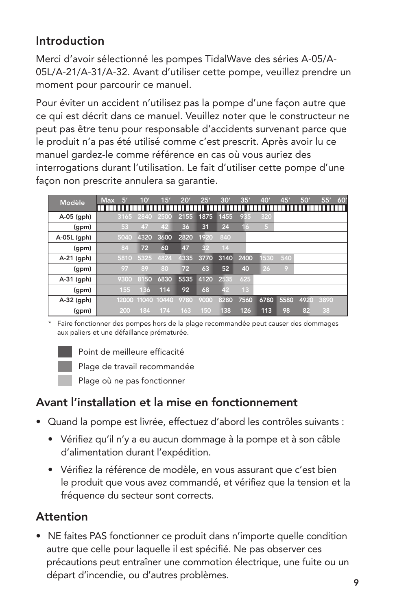## Introduction

Merci d'avoir sélectionné les pompes TidalWave des séries A-05/A-05L/A-21/A-31/A-32. Avant d'utiliser cette pompe, veuillez prendre un moment pour parcourir ce manuel.

Pour éviter un accident n'utilisez pas la pompe d'une façon autre que ce qui est décrit dans ce manuel. Veuillez noter que le constructeur ne peut pas être tenu pour responsable d'accidents survenant parce que le produit n'a pas été utilisé comme c'est prescrit. Après avoir lu ce manuel gardez-le comme référence en cas où vous auriez des interrogations durant l'utilisation. Le fait d'utiliser cette pompe d'une façon non prescrite annulera sa garantie.

| <b>Modèle</b> | <b>Max</b><br>5 | 10'  | 15'         | 20'  | 25'  | 30'  | 35'             | 40'            | 45'  | 50'  | 55'  | 60' |
|---------------|-----------------|------|-------------|------|------|------|-----------------|----------------|------|------|------|-----|
|               |                 |      |             |      |      |      |                 |                |      |      |      | п   |
| A-05 (gph)    | 3165            | 2840 | 2500        | 2155 | 1875 | 1455 | 935             | 320            |      |      |      |     |
| (gpm)         | 53              | 47   | 42          | 36   | 31   | 24   | 16              | 5 <sub>1</sub> |      |      |      |     |
| A-05L (gph)   | 5040            | 4320 | 3600        | 2820 | 1920 | 840  |                 |                |      |      |      |     |
| (qpm)         | 84              | 72   | 60          | 47   | 32   | 14   |                 |                |      |      |      |     |
| A-21 (gph)    | 5810            | 5325 | 4824        | 4335 | 3770 | 3140 | 2400            | 1530           | 540  |      |      |     |
| (gpm)         | 97              | 89   | 80          | 72   | 63   | 52   | 40              | 26             | O)   |      |      |     |
| $A-31$ (gph)  | 9300            | 8150 | 6830        | 5535 | 4120 | 2535 | 625             |                |      |      |      |     |
| (gpm)         | 155             | 136  | 114         | 92   | 68   | 42   | 13 <sup>°</sup> |                |      |      |      |     |
| A-32 (gph)    | 12000           |      | 11040 10440 | 9780 | 9000 | 8280 | 7560            | 6780           | 5580 | 4920 | 3890 |     |
| (gpm)         | 200             | 184  | 174         | 163  | 150  | 138  | 126             | 113            | 98   | 82   | 38   |     |

\* Faire fonctionner des pompes hors de la plage recommandée peut causer des dommages aux paliers et une défaillance prématurée.



Point de meilleure efficacité

Plage de travail recommandée

Plage où ne pas fonctionner

## Avant l'installation et la mise en fonctionnement

- • Quand la pompe est livrée, effectuez d'abord les contrôles suivants :
	- Vérifiez qu'il n'y a eu aucun dommage à la pompe et à son câble d'alimentation durant l'expédition.
	- • Vérifiez la référence de modèle, en vous assurant que c'est bien le produit que vous avez commandé, et vérifiez que la tension et la fréquence du secteur sont corrects.

## **Attention**

• NE faites PAS fonctionner ce produit dans n'importe quelle condition autre que celle pour laquelle il est spécifié. Ne pas observer ces précautions peut entraîner une commotion électrique, une fuite ou un départ d'incendie, ou d'autres problèmes.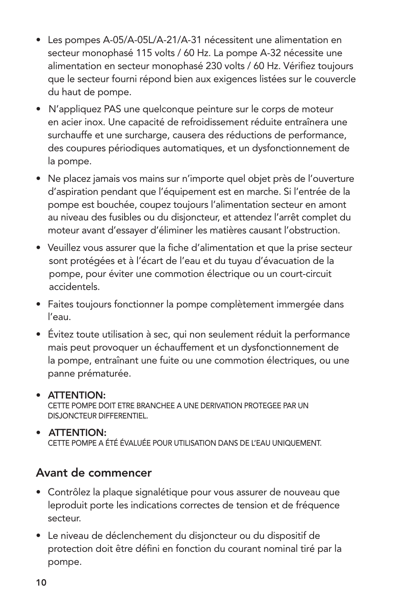- Les pompes A-05/A-05L/A-21/A-31 nécessitent une alimentation en secteur monophasé 115 volts / 60 Hz. La pompe A-32 nécessite une alimentation en secteur monophasé 230 volts / 60 Hz. Vérifiez toujours que le secteur fourni répond bien aux exigences listées sur le couvercle du haut de pompe.
- N'appliquez PAS une quelconque peinture sur le corps de moteur en acier inox. Une capacité de refroidissement réduite entraînera une surchauffe et une surcharge, causera des réductions de performance, des coupures périodiques automatiques, et un dysfonctionnement de la pompe.
- • Ne placez jamais vos mains sur n'importe quel objet près de l'ouverture d'aspiration pendant que l'équipement est en marche. Si l'entrée de la pompe est bouchée, coupez toujours l'alimentation secteur en amont au niveau des fusibles ou du disjoncteur, et attendez l'arrêt complet du moteur avant d'essayer d'éliminer les matières causant l'obstruction.
- • Veuillez vous assurer que la fiche d'alimentation et que la prise secteur sont protégées et à l'écart de l'eau et du tuyau d'évacuation de la pompe, pour éviter une commotion électrique ou un court-circuit accidentels.
- Faites toujours fonctionner la pompe complètement immergée dans l'eau.
- Évitez toute utilisation à sec, qui non seulement réduit la performance mais peut provoquer un échauffement et un dysfonctionnement de la pompe, entraînant une fuite ou une commotion électriques, ou une panne prématurée.

#### • ATTENTION: CETTE POMPE DOIT ETRE BRANCHEE A UNE DERIVATION PROTEGEE PAR UN DISJONCTEUR DIFFERENTIEL.

#### • ATTENTION: CETTE POMPE A ÉTÉ ÉVALUÉE POUR UTILISATION DANS DE L'EAU UNIQUEMENT.

## Avant de commencer

- Contrôlez la plaque signalétique pour vous assurer de nouveau que leproduit porte les indications correctes de tension et de fréquence secteur.
- • Le niveau de déclenchement du disjoncteur ou du dispositif de protection doit être défini en fonction du courant nominal tiré par la pompe.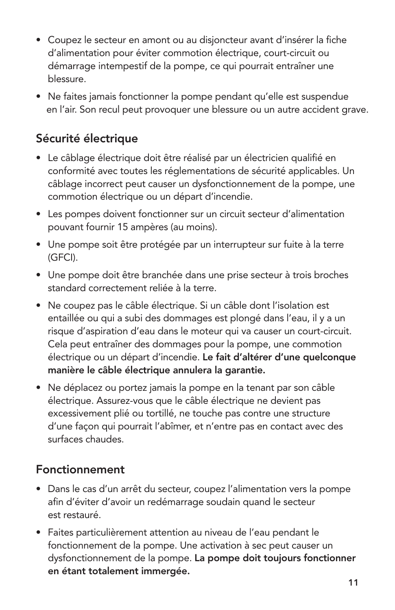- Coupez le secteur en amont ou au disjoncteur avant d'insérer la fiche d'alimentation pour éviter commotion électrique, court-circuit ou démarrage intempestif de la pompe, ce qui pourrait entraîner une blessure.
- Ne faites jamais fonctionner la pompe pendant qu'elle est suspendue en l'air. Son recul peut provoquer une blessure ou un autre accident grave.

## Sécurité électrique

- • Le câblage électrique doit être réalisé par un électricien qualifié en conformité avec toutes les réglementations de sécurité applicables. Un câblage incorrect peut causer un dysfonctionnement de la pompe, une commotion électrique ou un départ d'incendie.
- Les pompes doivent fonctionner sur un circuit secteur d'alimentation pouvant fournir 15 ampères (au moins).
- Une pompe soit être protégée par un interrupteur sur fuite à la terre (GFCI).
- Une pompe doit être branchée dans une prise secteur à trois broches standard correctement reliée à la terre.
- Ne coupez pas le câble électrique. Si un câble dont l'isolation est entaillée ou qui a subi des dommages est plongé dans l'eau, il y a un risque d'aspiration d'eau dans le moteur qui va causer un court-circuit. Cela peut entraîner des dommages pour la pompe, une commotion électrique ou un départ d'incendie. Le fait d'altérer d'une quelconque manière le câble électrique annulera la garantie.
- Ne déplacez ou portez jamais la pompe en la tenant par son câble électrique. Assurez-vous que le câble électrique ne devient pas excessivement plié ou tortillé, ne touche pas contre une structure d'une façon qui pourrait l'abîmer, et n'entre pas en contact avec des surfaces chaudes.

## Fonctionnement

- Dans le cas d'un arrêt du secteur, coupez l'alimentation vers la pompe afin d'éviter d'avoir un redémarrage soudain quand le secteur est restauré.
- Faites particulièrement attention au niveau de l'eau pendant le fonctionnement de la pompe. Une activation à sec peut causer un dysfonctionnement de la pompe. La pompe doit toujours fonctionner en étant totalement immergée.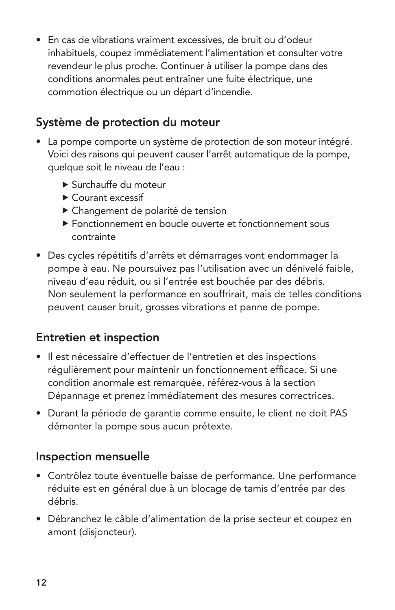• En cas de vibrations vraiment excessives, de bruit ou d'odeur inhabituels, coupez immédiatement l'alimentation et consulter votre revendeur le plus proche. Continuer à utiliser la pompe dans des conditions anormales peut entraîner une fuite électrique, une commotion électrique ou un départ d'incendie.

## Système de protection du moteur

- La pompe comporte un système de protection de son moteur intégré. Voici des raisons qui peuvent causer l'arrêt automatique de la pompe, quelque soit le niveau de l'eau :
	- Surchauffe du moteur
	- Courant excessif
	- Changement de polarité de tension
	- Fonctionnement en boucle ouverte et fonctionnement sous contrainte
- Des cycles répétitifs d'arrêts et démarrages vont endommager la pompe à eau. Ne poursuivez pas l'utilisation avec un dénivelé faible, niveau d'eau réduit, ou si l'entrée est bouchée par des débris. Non seulement la performance en souffrirait, mais de telles conditions peuvent causer bruit, grosses vibrations et panne de pompe.

#### Entretien et inspection

- • Il est nécessaire d'effectuer de l'entretien et des inspections régulièrement pour maintenir un fonctionnement efficace. Si une condition anormale est remarquée, référez-vous à la section Dépannage et prenez immédiatement des mesures correctrices.
- Durant la période de garantie comme ensuite, le client ne doit PAS démonter la pompe sous aucun prétexte.

#### Inspection mensuelle

- Contrôlez toute éventuelle baisse de performance. Une performance réduite est en général due à un blocage de tamis d'entrée par des débris.
- • Débranchez le câble d'alimentation de la prise secteur et coupez en amont (disjoncteur).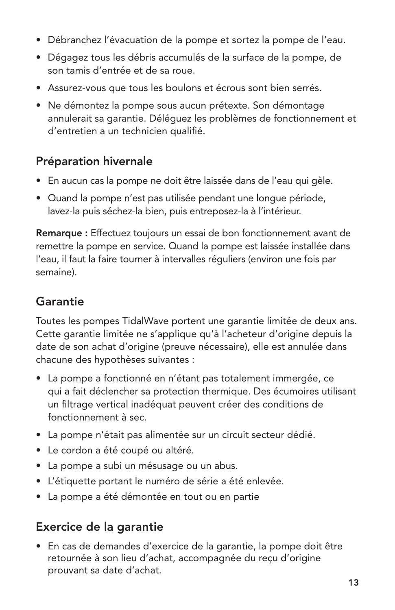- Débranchez l'évacuation de la pompe et sortez la pompe de l'eau.
- • Dégagez tous les débris accumulés de la surface de la pompe, de son tamis d'entrée et de sa roue.
- Assurez-vous que tous les boulons et écrous sont bien serrés.
- Ne démontez la pompe sous aucun prétexte. Son démontage annulerait sa garantie. Déléguez les problèmes de fonctionnement et d'entretien a un technicien qualifié.

## Préparation hivernale

- • En aucun cas la pompe ne doit être laissée dans de l'eau qui gèle.
- • Quand la pompe n'est pas utilisée pendant une longue période, lavez-la puis séchez-la bien, puis entreposez-la à l'intérieur.

Remarque : Effectuez toujours un essai de bon fonctionnement avant de remettre la pompe en service. Quand la pompe est laissée installée dans l'eau, il faut la faire tourner à intervalles réguliers (environ une fois par semaine).

## **Garantie**

Toutes les pompes TidalWave portent une garantie limitée de deux ans. Cette garantie limitée ne s'applique qu'à l'acheteur d'origine depuis la date de son achat d'origine (preuve nécessaire), elle est annulée dans chacune des hypothèses suivantes :

- La pompe a fonctionné en n'étant pas totalement immergée, ce qui a fait déclencher sa protection thermique. Des écumoires utilisant un filtrage vertical inadéquat peuvent créer des conditions de fonctionnement à sec.
- La pompe n'était pas alimentée sur un circuit secteur dédié.
- Le cordon a été coupé ou altéré.
- La pompe a subi un mésusage ou un abus.
- • L'étiquette portant le numéro de série a été enlevée.
- • La pompe a été démontée en tout ou en partie

## Exercice de la garantie

• En cas de demandes d'exercice de la garantie, la pompe doit être retournée à son lieu d'achat, accompagnée du reçu d'origine prouvant sa date d'achat.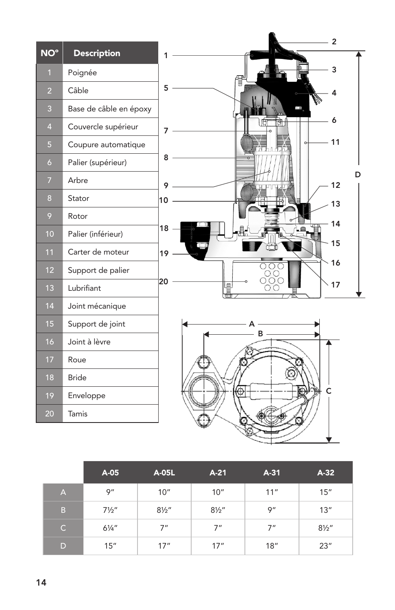| NO°            | <b>Description</b>     | $\overline{2}$                    |   |
|----------------|------------------------|-----------------------------------|---|
| $\overline{1}$ | Poignée                | 1<br>3                            |   |
| $\overline{2}$ | Câble                  | 5<br>4                            |   |
| 3              | Base de câble en époxy | Ę                                 |   |
| $\overline{4}$ | Couvercle supérieur    | 6<br>7                            |   |
| 5              | Coupure automatique    | 11                                |   |
| $\overline{6}$ | Palier (supérieur)     | 8                                 |   |
| $\overline{7}$ | Arbre                  | 12<br>9                           | D |
| 8              | Stator                 | 10<br>13                          |   |
| 9              | Rotor                  | 14                                |   |
| 10             | Palier (inférieur)     | 18                                |   |
| 11             | Carter de moteur       | 15<br>19                          |   |
| 12             | Support de palier      | 16                                |   |
| 13             | Lubrifiant             | $\bigcirc$ $\bigcirc$<br>20<br>17 |   |
| 14             | Joint mécanique        |                                   |   |
| 15             | Support de joint       |                                   |   |
| 16             | Joint à lèvre          | в                                 |   |
| 17             | Roue                   |                                   |   |
| 18             | <b>Bride</b>           |                                   |   |
| 19             | Enveloppe              |                                   |   |
| 20             | Tamis                  |                                   |   |
|                |                        |                                   |   |

|              | A-05             | A-05L            | $A-21$           | $A-31$ | $A-32$           |
|--------------|------------------|------------------|------------------|--------|------------------|
| IA,          | 9''              | 10''             | 10''             | 11"    | 15"              |
| B            | $7\frac{1}{2}$ " | $8\frac{1}{2}$ " | $8\frac{1}{2}$ " | 9''    | 13''             |
| $\mathsf{C}$ | $6\frac{1}{4}$ " | 7"               | 7"               | 7"     | $8\frac{1}{2}$ " |
| D            | 15''             | 17''             | 17''             | 18"    | 23''             |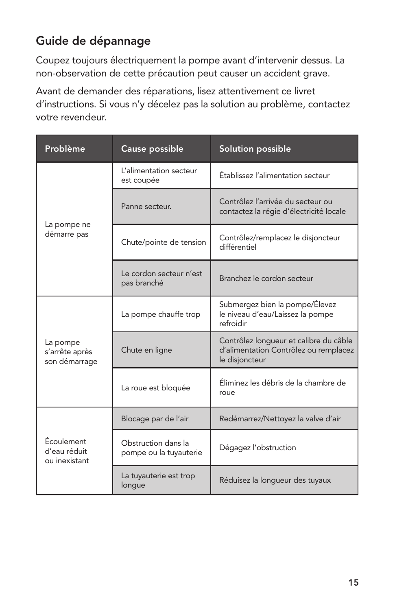## Guide de dépannage

Coupez toujours électriquement la pompe avant d'intervenir dessus. La non-observation de cette précaution peut causer un accident grave.

Avant de demander des réparations, lisez attentivement ce livret d'instructions. Si vous n'y décelez pas la solution au problème, contactez votre revendeur.

| Problème                                    | Cause possible                                | Solution possible                                                                                 |  |  |  |
|---------------------------------------------|-----------------------------------------------|---------------------------------------------------------------------------------------------------|--|--|--|
|                                             | L'alimentation secteur<br>est coupée          | Établissez l'alimentation secteur                                                                 |  |  |  |
|                                             | Panne secteur.                                | Contrôlez l'arrivée du secteur ou<br>contactez la régie d'électricité locale                      |  |  |  |
| La pompe ne<br>démarre pas                  | Chute/pointe de tension                       | Contrôlez/remplacez le disjoncteur<br>différentiel                                                |  |  |  |
|                                             | Le cordon secteur n'est<br>pas branché        | Branchez le cordon secteur                                                                        |  |  |  |
|                                             | La pompe chauffe trop                         | Submergez bien la pompe/Élevez<br>le niveau d'eau/Laissez la pompe<br>refroidir                   |  |  |  |
| La pompe<br>s'arrête après<br>son démarrage | Chute en ligne                                | Contrôlez longueur et calibre du câble<br>d'alimentation Contrôlez ou remplacez<br>le disjoncteur |  |  |  |
|                                             | La roue est bloquée                           | Éliminez les débris de la chambre de<br>roue                                                      |  |  |  |
|                                             | Blocage par de l'air                          | Redémarrez/Nettoyez la valve d'air                                                                |  |  |  |
| Écoulement<br>d'eau réduit<br>ou inexistant | Obstruction dans la<br>pompe ou la tuyauterie | Dégagez l'obstruction                                                                             |  |  |  |
|                                             | La tuyauterie est trop<br>longue              | Réduisez la longueur des tuyaux                                                                   |  |  |  |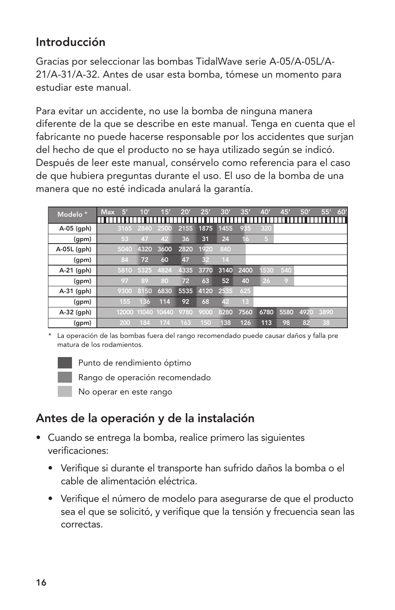## Introducción

Gracias por seleccionar las bombas TidalWave serie A-05/A-05L/A-21/A-31/A-32. Antes de usar esta bomba, tómese un momento para estudiar este manual.

Para evitar un accidente, no use la bomba de ninguna manera diferente de la que se describe en este manual. Tenga en cuenta que el fabricante no puede hacerse responsable por los accidentes que surjan del hecho de que el producto no se haya utilizado según se indicó. Después de leer este manual, consérvelo como referencia para el caso de que hubiera preguntas durante el uso. El uso de la bomba de una manera que no esté indicada anulará la garantía.

| Modelo <sup>°</sup> | Б<br><b>Max</b> | 10'  | 15'               | 20'  | 25'  | 30'  | 35'             | 40'            | 45'  | 50'  | 55'  | 60'<br>п |
|---------------------|-----------------|------|-------------------|------|------|------|-----------------|----------------|------|------|------|----------|
| A-05 (gph)          | 3165            | 2840 | 2500              | 2155 | 1875 | 1455 | 935             | 320            |      |      |      |          |
| (gpm)               | 53              | 47   | 42                | 36   | 31   | 24   | 16              | 5 <sup>2</sup> |      |      |      |          |
| A-05L (gph)         | 5040            | 4320 | 3600              | 2820 | 1920 | 840  |                 |                |      |      |      |          |
| (gpm)               | 84              | 72   | 60                | 47   | 32   | 14   |                 |                |      |      |      |          |
| $A-21$ (gph)        | 5810            | 5325 | 4824              | 4335 | 3770 | 3140 | 2400            | 530            | 540  |      |      |          |
| (gpm)               | 97              | 89   | 80                | 72   | 63   | 52   | 40              | 26             | O)   |      |      |          |
| $A-31$ (gph)        | 9300            | 8150 | 6830              | 5535 | 4120 | 2535 | 625             |                |      |      |      |          |
| (gpm)               | 155             | 136  | 114               | 92   | 68   | 42   | 13 <sup>°</sup> |                |      |      |      |          |
| A-32 (gph)          |                 |      | 12000 11040 10440 | 9780 | 9000 | 8280 | 7560            | 6780           | 5580 | 4920 | 3890 |          |
| (gpm)               | 200             | 184  | 174               | 163  | 150  | 138  | 126             | 113            | 98   | 82   | 38   |          |

\* La operación de las bombas fuera del rango recomendado puede causar daños y falla pre matura de los rodamientos.



Punto de rendimiento óptimo

Rango de operación recomendado

No operar en este rango

## Antes de la operación y de la instalación

- Cuando se entrega la bomba, realice primero las siguientes verificaciones:
	- • Verifique si durante el transporte han sufrido daños la bomba o el cable de alimentación eléctrica.
	- • Verifique el número de modelo para asegurarse de que el producto sea el que se solicitó, y verifique que la tensión y frecuencia sean las correctas.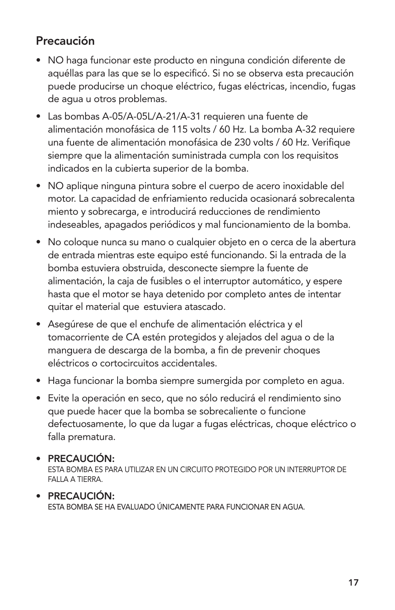## Precaución

- • NO haga funcionar este producto en ninguna condición diferente de aquéllas para las que se lo especificó. Si no se observa esta precaución puede producirse un choque eléctrico, fugas eléctricas, incendio, fugas de agua u otros problemas.
- Las bombas A-05/A-05L/A-21/A-31 requieren una fuente de alimentación monofásica de 115 volts / 60 Hz. La bomba A-32 requiere una fuente de alimentación monofásica de 230 volts / 60 Hz. Verifique siempre que la alimentación suministrada cumpla con los requisitos indicados en la cubierta superior de la bomba.
- • NO aplique ninguna pintura sobre el cuerpo de acero inoxidable del motor. La capacidad de enfriamiento reducida ocasionará sobrecalenta miento y sobrecarga, e introducirá reducciones de rendimiento indeseables, apagados periódicos y mal funcionamiento de la bomba.
- No coloque nunca su mano o cualquier objeto en o cerca de la abertura de entrada mientras este equipo esté funcionando. Si la entrada de la bomba estuviera obstruida, desconecte siempre la fuente de alimentación, la caja de fusibles o el interruptor automático, y espere hasta que el motor se haya detenido por completo antes de intentar quitar el material que estuviera atascado.
- • Asegúrese de que el enchufe de alimentación eléctrica y el tomacorriente de CA estén protegidos y alejados del agua o de la manguera de descarga de la bomba, a fin de prevenir choques eléctricos o cortocircuitos accidentales.
- Haga funcionar la bomba siempre sumergida por completo en agua.
- • Evite la operación en seco, que no sólo reducirá el rendimiento sino que puede hacer que la bomba se sobrecaliente o funcione defectuosamente, lo que da lugar a fugas eléctricas, choque eléctrico o falla prematura.

#### • PRECAUCIÓN:

ESTA BOMBA ES PARA UTILIZAR EN UN CIRCUITO PROTEGIDO POR UN INTERRUPTOR DE FALLA A TIERRA.

#### • PRECAUCIÓN: ESTA BOMBA SE HA EVALUADO ÚNICAMENTE PARA FUNCIONAR EN AGUA.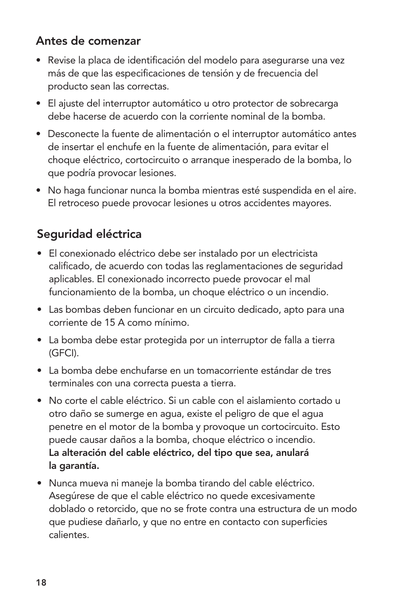## Antes de comenzar

- • Revise la placa de identificación del modelo para asegurarse una vez más de que las especificaciones de tensión y de frecuencia del producto sean las correctas.
- El ajuste del interruptor automático u otro protector de sobrecarga debe hacerse de acuerdo con la corriente nominal de la bomba.
- Desconecte la fuente de alimentación o el interruptor automático antes de insertar el enchufe en la fuente de alimentación, para evitar el choque eléctrico, cortocircuito o arranque inesperado de la bomba, lo que podría provocar lesiones.
- No haga funcionar nunca la bomba mientras esté suspendida en el aire. El retroceso puede provocar lesiones u otros accidentes mayores.

## Seguridad eléctrica

- • El conexionado eléctrico debe ser instalado por un electricista calificado, de acuerdo con todas las reglamentaciones de seguridad aplicables. El conexionado incorrecto puede provocar el mal funcionamiento de la bomba, un choque eléctrico o un incendio.
- Las bombas deben funcionar en un circuito dedicado, apto para una corriente de 15 A como mínimo.
- La bomba debe estar protegida por un interruptor de falla a tierra (GFCI).
- • La bomba debe enchufarse en un tomacorriente estándar de tres terminales con una correcta puesta a tierra.
- • No corte el cable eléctrico. Si un cable con el aislamiento cortado u otro daño se sumerge en agua, existe el peligro de que el agua penetre en el motor de la bomba y provoque un cortocircuito. Esto puede causar daños a la bomba, choque eléctrico o incendio. La alteración del cable eléctrico, del tipo que sea, anulará la garantía.
- • Nunca mueva ni maneje la bomba tirando del cable eléctrico. Asegúrese de que el cable eléctrico no quede excesivamente doblado o retorcido, que no se frote contra una estructura de un modo que pudiese dañarlo, y que no entre en contacto con superficies calientes.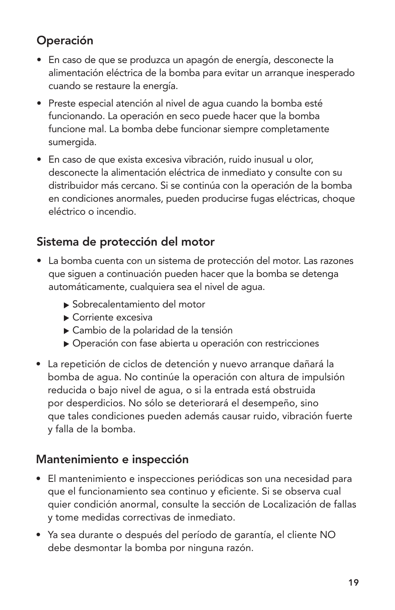## Operación

- • En caso de que se produzca un apagón de energía, desconecte la alimentación eléctrica de la bomba para evitar un arranque inesperado cuando se restaure la energía.
- • Preste especial atención al nivel de agua cuando la bomba esté funcionando. La operación en seco puede hacer que la bomba funcione mal. La bomba debe funcionar siempre completamente sumergida.
- En caso de que exista excesiva vibración, ruido inusual u olor, desconecte la alimentación eléctrica de inmediato y consulte con su distribuidor más cercano. Si se continúa con la operación de la bomba en condiciones anormales, pueden producirse fugas eléctricas, choque eléctrico o incendio.

## Sistema de protección del motor

- La bomba cuenta con un sistema de protección del motor. Las razones que siguen a continuación pueden hacer que la bomba se detenga automáticamente, cualquiera sea el nivel de agua.
	- Sobrecalentamiento del motor
	- Corriente excesiva
	- Cambio de la polaridad de la tensión
	- Operación con fase abierta u operación con restricciones
- La repetición de ciclos de detención y nuevo arranque dañará la bomba de agua. No continúe la operación con altura de impulsión reducida o bajo nivel de agua, o si la entrada está obstruida por desperdicios. No sólo se deteriorará el desempeño, sino que tales condiciones pueden además causar ruido, vibración fuerte y falla de la bomba.

#### Mantenimiento e inspección

- • El mantenimiento e inspecciones periódicas son una necesidad para que el funcionamiento sea continuo y eficiente. Si se observa cual quier condición anormal, consulte la sección de Localización de fallas y tome medidas correctivas de inmediato.
- • Ya sea durante o después del período de garantía, el cliente NO debe desmontar la bomba por ninguna razón.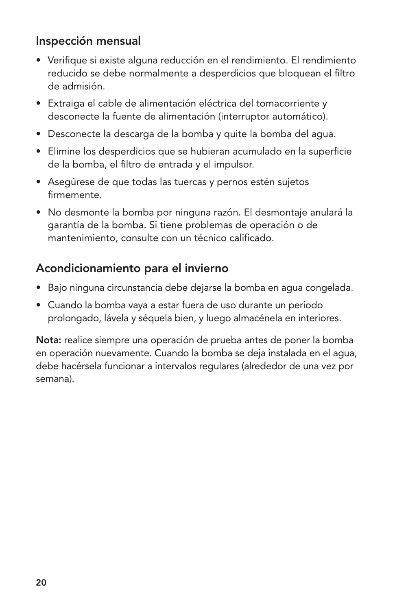## Inspección mensual

- • Verifique si existe alguna reducción en el rendimiento. El rendimiento reducido se debe normalmente a desperdicios que bloquean el filtro de admisión.
- • Extraiga el cable de alimentación eléctrica del tomacorriente y desconecte la fuente de alimentación (interruptor automático).
- • Desconecte la descarga de la bomba y quite la bomba del agua.
- • Elimine los desperdicios que se hubieran acumulado en la superficie de la bomba, el filtro de entrada y el impulsor.
- Asegúrese de que todas las tuercas y pernos estén sujetos firmemente.
- • No desmonte la bomba por ninguna razón. El desmontaje anulará la garantía de la bomba. Si tiene problemas de operación o de mantenimiento, consulte con un técnico calificado.

### Acondicionamiento para el invierno

- • Bajo ninguna circunstancia debe dejarse la bomba en agua congelada.
- Cuando la bomba vaya a estar fuera de uso durante un período prolongado, lávela y séquela bien, y luego almacénela en interiores.

Nota: realice siempre una operación de prueba antes de poner la bomba en operación nuevamente. Cuando la bomba se deja instalada en el agua, debe hacérsela funcionar a intervalos regulares (alrededor de una vez por semana).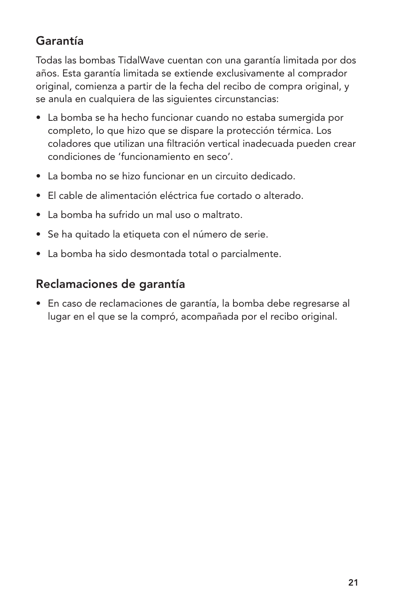## Garantía

Todas las bombas TidalWave cuentan con una garantía limitada por dos años. Esta garantía limitada se extiende exclusivamente al comprador original, comienza a partir de la fecha del recibo de compra original, y se anula en cualquiera de las siguientes circunstancias:

- La bomba se ha hecho funcionar cuando no estaba sumergida por completo, lo que hizo que se dispare la protección térmica. Los coladores que utilizan una filtración vertical inadecuada pueden crear condiciones de 'funcionamiento en seco'.
- • La bomba no se hizo funcionar en un circuito dedicado.
- • El cable de alimentación eléctrica fue cortado o alterado.
- • La bomba ha sufrido un mal uso o maltrato.
- • Se ha quitado la etiqueta con el número de serie.
- La bomba ha sido desmontada total o parcialmente.

## Reclamaciones de garantía

• En caso de reclamaciones de garantía, la bomba debe regresarse al lugar en el que se la compró, acompañada por el recibo original.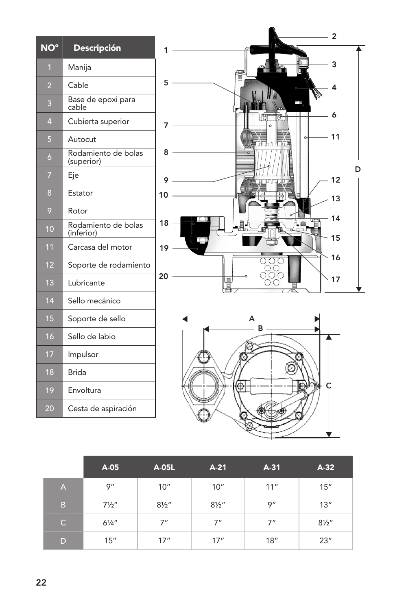| NO°            | <b>Descripción</b>                |
|----------------|-----------------------------------|
| $\overline{1}$ | Manija                            |
| 2              | Cable                             |
| 3              | Base de epoxi para<br>cable       |
| A              | Cubierta superior                 |
| 5              | Autocut                           |
| 6              | Rodamiento de bolas<br>(superior) |
| 7              | Eje                               |
| 8              | Estator                           |
| 9              | Rotor                             |
| 10             | Rodamiento de bolas<br>(inferior) |
| 11             | Carcasa del motor                 |
| 12             | Soporte de rodamiento             |
| 13             | Lubricante                        |
| 14             | Sello mecánico                    |
| 15             | Soporte de sello                  |
| 16             | Sello de labio                    |
| 17             | Impulsor                          |
| 18             | Brida                             |
| 19             | Envoltura                         |
| 20             | Cesta de aspiración               |



|                | A-05             | A-05L            | $A-21$           | $A-31$ | $A-32$           |
|----------------|------------------|------------------|------------------|--------|------------------|
| $\overline{A}$ | 9''              | 10"              | 10''             | 11"    | 15"              |
| B              | $7\frac{1}{2}$ " | $8\frac{1}{2}$ " | $8\frac{1}{2}$ " | 9''    | 13''             |
| $\mathsf{C}$   | $6\frac{1}{4}$ " | 7"               | 7"               | 7"     | $8\frac{1}{2}$ " |
| D              | 15"              | 17''             | 17''             | 18"    | 23''             |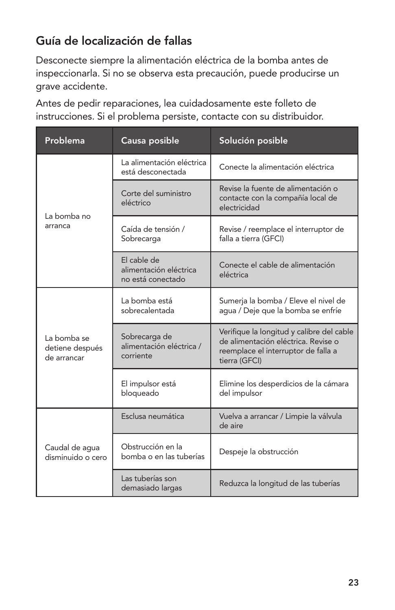## Guía de localización de fallas

Desconecte siempre la alimentación eléctrica de la bomba antes de inspeccionarla. Si no se observa esta precaución, puede producirse un grave accidente.

Antes de pedir reparaciones, lea cuidadosamente este folleto de instrucciones. Si el problema persiste, contacte con su distribuidor.

| Problema                                      | Causa posible                                              | Solución posible                                                                                                                         |  |  |  |
|-----------------------------------------------|------------------------------------------------------------|------------------------------------------------------------------------------------------------------------------------------------------|--|--|--|
|                                               | La alimentación eléctrica<br>está desconectada             | Conecte la alimentación eléctrica                                                                                                        |  |  |  |
| La bomba no                                   | Corte del suministro<br>eléctrico                          | Revise la fuente de alimentación o<br>contacte con la compañía local de<br>electricidad                                                  |  |  |  |
| arranca                                       | Caída de tensión /<br>Sobrecarga                           | Revise / reemplace el interruptor de<br>falla a tierra (GFCI)                                                                            |  |  |  |
|                                               | El cable de<br>alimentación eléctrica<br>no está conectado | Conecte el cable de alimentación<br>eléctrica                                                                                            |  |  |  |
|                                               | La bomba está<br>sobrecalentada                            | Sumerja la bomba / Eleve el nivel de<br>aqua / Deje que la bomba se enfríe                                                               |  |  |  |
| La bomba se<br>detiene después<br>de arrancar | Sobrecarga de<br>alimentación eléctrica /<br>corriente     | Verifique la longitud y calibre del cable<br>de alimentación eléctrica. Revise o<br>reemplace el interruptor de falla a<br>tierra (GFCI) |  |  |  |
|                                               | El impulsor está<br>bloqueado                              | Elimine los desperdicios de la cámara<br>del impulsor                                                                                    |  |  |  |
|                                               | Esclusa neumática                                          | Vuelva a arrancar / Limpie la válvula<br>de aire                                                                                         |  |  |  |
| Caudal de agua<br>disminuido o cero           | Obstrucción en la<br>bomba o en las tuberías               | Despeje la obstrucción                                                                                                                   |  |  |  |
|                                               | Las tuberías son<br>demasiado largas                       | Reduzca la longitud de las tuberías                                                                                                      |  |  |  |